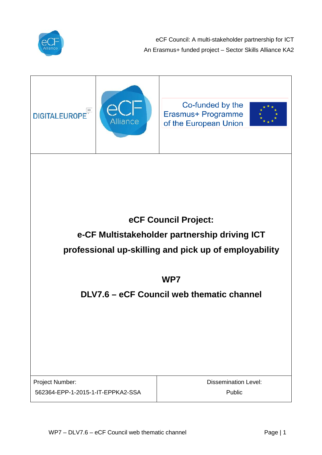

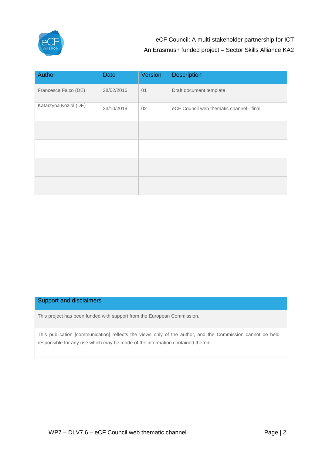

| Author                | <b>Date</b> | Version | <b>Description</b>                       |
|-----------------------|-------------|---------|------------------------------------------|
| Francesca Falco (DE)  | 28/02/2016  | 01      | Draft document template                  |
| Katarzyna Koziol (DE) | 23/10/2018  | 02      | eCF Council web thematic channel - final |
|                       |             |         |                                          |
|                       |             |         |                                          |
|                       |             |         |                                          |
|                       |             |         |                                          |

### Support and disclaimers

This project has been funded with support from the European Commission.

This publication [communication] reflects the views only of the author, and the Commission cannot be held responsible for any use which may be made of the information contained therein.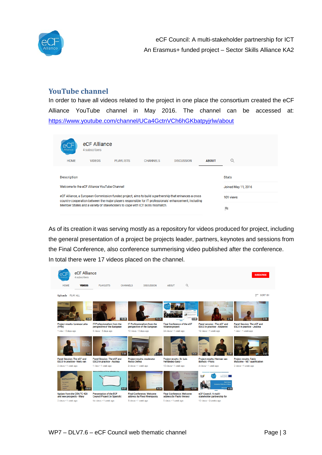

## **YouTube channel**

In order to have all videos related to the project in one place the consortium created the eCF Alliance YouTube channel in May 2016. The channel can be accessed at: <https://www.youtube.com/channel/UCa4GctnVCh6hGKbatpyjrlw/about>

|  | Allianci                                                                                                                                                                                                                                                                                         | eCF Alliance<br>4 subscribers |                  |                 |                   |              |                     |
|--|--------------------------------------------------------------------------------------------------------------------------------------------------------------------------------------------------------------------------------------------------------------------------------------------------|-------------------------------|------------------|-----------------|-------------------|--------------|---------------------|
|  | <b>HOME</b>                                                                                                                                                                                                                                                                                      | <b>VIDEOS</b>                 | <b>PLAYLISTS</b> | <b>CHANNELS</b> | <b>DISCUSSION</b> | <b>ABOUT</b> |                     |
|  | <b>Description</b>                                                                                                                                                                                                                                                                               |                               |                  |                 |                   |              | <b>Stats</b>        |
|  | Welcome to the eCF Alliance YouTube Channel!                                                                                                                                                                                                                                                     |                               |                  |                 |                   |              | Joined May 11, 2016 |
|  | eCF Alliance, a European Commission funded project, aims to build a partnership that enhances a cross<br>country-cooperation between the major players responsible for IT professionals' enhancement, including<br>Member States and a variety of stakeholders to cope with ICT skills mismatch. |                               |                  |                 |                   | 101 views    |                     |
|  |                                                                                                                                                                                                                                                                                                  |                               |                  |                 |                   | m            |                     |

As of its creation it was serving mostly as a repository for videos produced for project, including the general presentation of a project be projects leader, partners, keynotes and sessions from the Final Conference, also conference summerising video published after the conference. In total there were 17 videos placed on the channel.

|                                                                          | eCF Alliance<br>4 subscribers |                                                                        |                                                                   |                                                                                            |                                                                     | <b>SUBSCRIBE</b>                                                       |
|--------------------------------------------------------------------------|-------------------------------|------------------------------------------------------------------------|-------------------------------------------------------------------|--------------------------------------------------------------------------------------------|---------------------------------------------------------------------|------------------------------------------------------------------------|
| <b>HOME</b>                                                              | <b>VIDEOS</b>                 | <b>CHANNELS</b><br><b>PLAYLISTS</b>                                    | <b>DISCUSSION</b>                                                 | Q<br><b>ABOUT</b>                                                                          |                                                                     |                                                                        |
| Uploads PLAY ALL                                                         |                               |                                                                        |                                                                   |                                                                                            |                                                                     | $=$ SORT BY                                                            |
| <b>Professional</b>                                                      | 2:36                          | 15:28                                                                  | 15:26                                                             | 0:48                                                                                       |                                                                     | 3:56                                                                   |
| Project results: Lorenza Leita<br>(FPM)                                  |                               | <b>IT Professionalism from the</b><br>perspective of the European      | <b>IT Professionalism from the</b><br>perspective of the European | <b>Final Conference of the eCF</b><br><b>Alliance project</b>                              | Panel session - The eCF and<br><b>ESCO</b> in practice - Aikaterini | <b>Panel Session: The eCF and</b><br><b>ESCO</b> in practice - Justina |
| 1 view - 5 days ago                                                      |                               | 5 views - 5 days ago                                                   | 10 views - 5 days ago                                             | 24 views . 1 week ago                                                                      | 13 views + 1 week ago                                               | 1 view - 1 week ago                                                    |
|                                                                          | 2:42                          | Panel session<br>The eCF and ESCO in practice<br>$2 - 30$              |                                                                   | <b>DIGITALEU</b><br>The yold<br>otthe<br>European<br>Digital-<br>Technol                   | <b>TALEUROPE</b>                                                    |                                                                        |
| <b>Panel Session: The eCF and</b><br><b>ESCO</b> in practice - Niels van |                               | <b>Panel Session: The eCF and</b><br><b>ESCO</b> in practice - Austeja | Project results: moderator<br><b>Rocco Defina</b>                 | <b>Project results: Dr. Luis</b><br>Fernández-Sanz -                                       | Project results: Herman van<br><b>Bolhuis - Pilots</b>              | <b>Project results: Fabio</b><br><b>Massimo - VET qualification</b>    |
| 3 views . 1 week ago                                                     |                               | 1 view · 1 week ago                                                    | 3 views + 1 week ago                                              | 10 views . 1 week ago                                                                      | 4 views . 1 week ago                                                | 2 views . 1 week ago                                                   |
| <b>DIGITALEUROPE</b><br>The voice<br>of the<br>European<br>Digital       |                               | <b>DEAV JUBBE WATE ETERWIAJ TIV</b><br>3:57                            | 8:34                                                              | Paolo Vercesi<br><b>ICF Council project lease</b><br><b>PRINT IN ARRANGE</b><br>×<br>12:51 | W<br>Paolo Vie<br>ine Politicorico di Mila<br>4:53                  |                                                                        |
| Update from the CEN/TC 428<br>and new prospects - Mary                   |                               | <b>Presentation of the ECF</b><br><b>Council Project (in Spanish)</b>  | <b>Final Conference: Welcome</b><br>address by Pavol Krempasky    | <b>Final Conference: Welcome</b><br>address by Paolo Vercesi                               | eCF Council: A multi-<br>stakeholder partnership for                |                                                                        |
| 2 views . 1 week ago                                                     |                               | No views . 1 week ago                                                  | 5 views . 1 week ago                                              | 5 views + 1 week ago                                                                       | 12 views + 3 weeks ago                                              |                                                                        |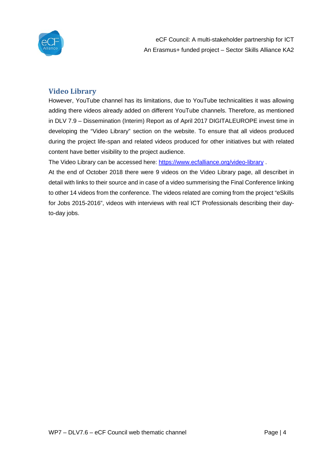

## **Video Library**

However, YouTube channel has its limitations, due to YouTube technicalities it was allowing adding there videos already added on different YouTube channels. Therefore, as mentioned in DLV 7.9 – Dissemination (Interim) Report as of April 2017 DIGITALEUROPE invest time in developing the "Video Library" section on the website. To ensure that all videos produced during the project life-span and related videos produced for other initiatives but with related content have better visibility to the project audience.

The Video Library can be accessed here:<https://www.ecfalliance.org/video-library> .

At the end of October 2018 there were 9 videos on the Video Library page, all describet in detail with links to their source and in case of a video summerising the Final Conference linking to other 14 videos from the conference. The videos related are coming from the project "eSkills for Jobs 2015-2016", videos with interviews with real ICT Professionals describing their dayto-day jobs.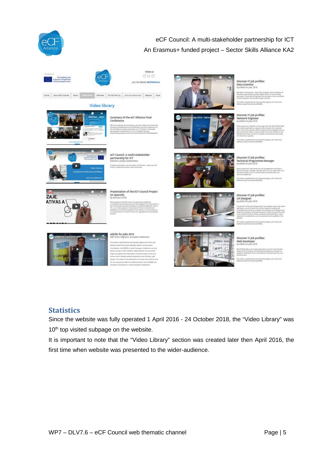





## **Video library**







eCF Council: A multi-stakeholder partnership for ICT<br>Erasmus+ project presenta ertidat by the pro

Presentation of the ECF Council Project

(in Spanish)<br>by Servicios CCC







Discover IT job profiles: Data Scientist<br>by eSkills for lobs 2016

Discover IT job profiles:<br>Network Engineer<br>by eSkils for Jobs 2016

## Discover IT job profiles:<br>Technical Programme Mai<br>by eSkills for Jobs 2016

Discover IT job profiles:<br>UX Designer<br>by eSkils for jobs 2016

# Discover IT job profiles<br>Web Developer<br>by eSkills for Jobs 2016





eSkills for Jobs 2015



**Statistics**

Since the website was fully operated 1 April 2016 - 24 October 2018, the "Video Library" was 10<sup>th</sup> top visited subpage on the website.

It is important to note that the "Video Library" section was created later then April 2016, the first time when website was presented to the wider-audience.